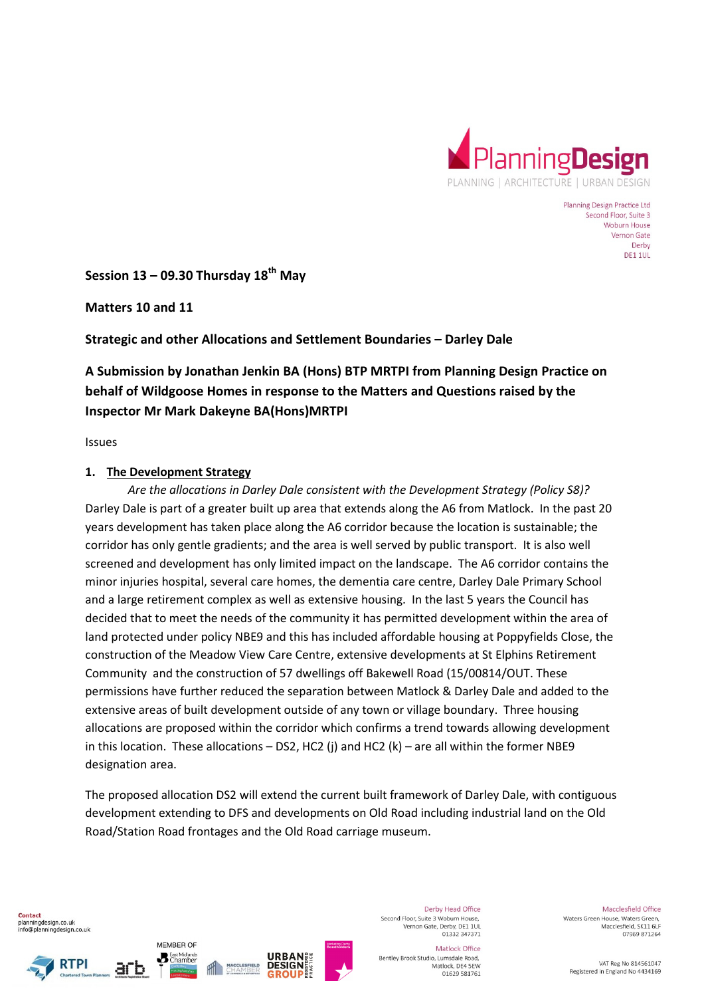

Planning Design Practice Ltd Second Floor, Suite 3 Woburn House Vernon Gate Derby DE1 1UL

**Session 13 – 09.30 Thursday 18th May** 

**Matters 10 and 11** 

**Strategic and other Allocations and Settlement Boundaries – Darley Dale** 

# **A Submission by Jonathan Jenkin BA (Hons) BTP MRTPI from Planning Design Practice on behalf of Wildgoose Homes in response to the Matters and Questions raised by the Inspector Mr Mark Dakeyne BA(Hons)MRTPI**

Issues

#### **1. The Development Strategy**

*Are the allocations in Darley Dale consistent with the Development Strategy (Policy S8)?*  Darley Dale is part of a greater built up area that extends along the A6 from Matlock. In the past 20 years development has taken place along the A6 corridor because the location is sustainable; the corridor has only gentle gradients; and the area is well served by public transport. It is also well screened and development has only limited impact on the landscape. The A6 corridor contains the minor injuries hospital, several care homes, the dementia care centre, Darley Dale Primary School and a large retirement complex as well as extensive housing. In the last 5 years the Council has decided that to meet the needs of the community it has permitted development within the area of land protected under policy NBE9 and this has included affordable housing at Poppyfields Close, the construction of the Meadow View Care Centre, extensive developments at St Elphins Retirement Community and the construction of 57 dwellings off Bakewell Road (15/00814/OUT. These permissions have further reduced the separation between Matlock & Darley Dale and added to the extensive areas of built development outside of any town or village boundary. Three housing allocations are proposed within the corridor which confirms a trend towards allowing development in this location. These allocations – DS2, HC2 (i) and HC2 (k) – are all within the former NBE9 designation area.

The proposed allocation DS2 will extend the current built framework of Darley Dale, with contiguous development extending to DFS and developments on Old Road including industrial land on the Old Road/Station Road frontages and the Old Road carriage museum.

Contact planningdesign.co.uk info@planningdesign.co.uk





MEMBER OF

**B** East Midlands



Derby Head Office Second Floor, Suite 3 Woburn House. Vernon Gate, Derby, DE1 1UL<br>01332 347371

Matlock Office Bentley Brook Studio, Lumsdale Road, Matlock, DE4 5EW 01629 581761

Macclesfield Office Waters Green House, Waters Green. Macclesfield, SK11 6LF 07969 871264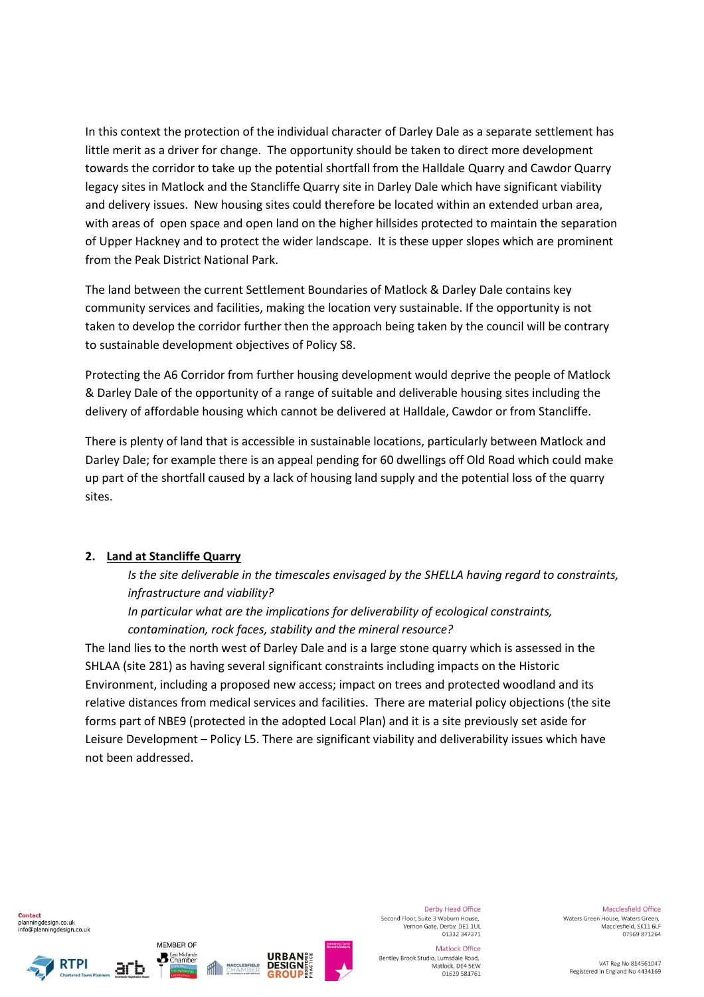In this context the protection of the individual character of Darley Dale as a separate settlement has little merit as a driver for change. The opportunity should be taken to direct more development towards the corridor to take up the potential shortfall from the Halldale Quarry and Cawdor Quarry legacy sites in Matlock and the Stancliffe Quarry site in Darley Dale which have significant viability and delivery issues. New housing sites could therefore be located within an extended urban area, with areas of open space and open land on the higher hillsides protected to maintain the separation of Upper Hackney and to protect the wider landscape. It is these upper slopes which are prominent from the Peak District National Park.

The land between the current Settlement Boundaries of Matlock & Darley Dale contains key community services and facilities, making the location very sustainable. If the opportunity is not taken to develop the corridor further then the approach being taken by the council will be contrary to sustainable development objectives of Policy S8.

Protecting the A6 Corridor from further housing development would deprive the people of Matlock & Darley Dale of the opportunity of a range of suitable and deliverable housing sites including the delivery of affordable housing which cannot be delivered at Halldale, Cawdor or from Stancliffe.

There is plenty of land that is accessible in sustainable locations, particularly between Matlock and Darley Dale; for example there is an appeal pending for 60 dwellings off Old Road which could make up part of the shortfall caused by a lack of housing land supply and the potential loss of the quarry sites.

### **2. Land at Stancliffe Quarry**

*Is the site deliverable in the timescales envisaged by the SHELLA having regard to constraints, infrastructure and viability?* 

*In particular what are the implications for deliverability of ecological constraints, contamination, rock faces, stability and the mineral resource?* 

The land lies to the north west of Darley Dale and is a large stone quarry which is assessed in the SHLAA (site 281) as having several significant constraints including impacts on the Historic Environment, including a proposed new access; impact on trees and protected woodland and its relative distances from medical services and facilities. There are material policy objections (the site forms part of NBE9 (protected in the adopted Local Plan) and it is a site previously set aside for Leisure Development – Policy L5. There are significant viability and deliverability issues which have not been addressed.

**Contact** planningdesign.co.uk info@planningdesign.co.uk







MEMBER OF

**B** East Midlands



Derby Head Office Second Floor, Suite 3 Woburn House. Vernon Gate, Derby, DE1 1UL<br>01332 347371

Macclesfield Office Waters Green House, Waters Green. Macclesfield, SK11 6LF 07969 871264

Matlock Office Bentley Brook Studio, Lumsdale Road, Matlock, DE4 5EW 01629 581761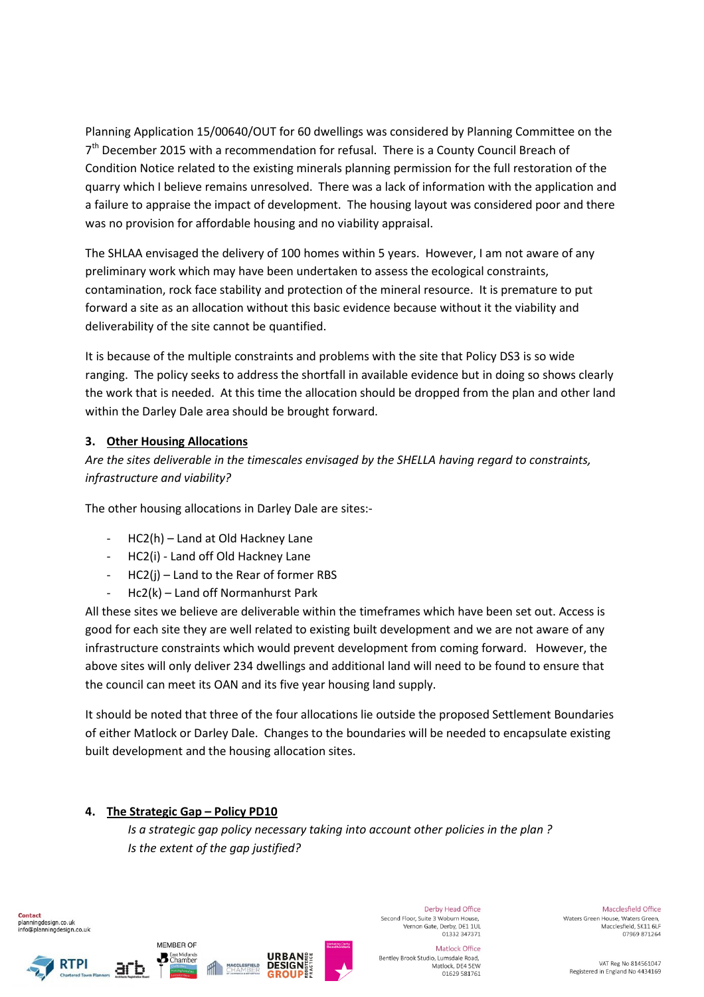Planning Application 15/00640/OUT for 60 dwellings was considered by Planning Committee on the 7<sup>th</sup> December 2015 with a recommendation for refusal. There is a County Council Breach of Condition Notice related to the existing minerals planning permission for the full restoration of the quarry which I believe remains unresolved. There was a lack of information with the application and a failure to appraise the impact of development. The housing layout was considered poor and there was no provision for affordable housing and no viability appraisal.

The SHLAA envisaged the delivery of 100 homes within 5 years. However, I am not aware of any preliminary work which may have been undertaken to assess the ecological constraints, contamination, rock face stability and protection of the mineral resource. It is premature to put forward a site as an allocation without this basic evidence because without it the viability and deliverability of the site cannot be quantified.

It is because of the multiple constraints and problems with the site that Policy DS3 is so wide ranging. The policy seeks to address the shortfall in available evidence but in doing so shows clearly the work that is needed. At this time the allocation should be dropped from the plan and other land within the Darley Dale area should be brought forward.

## **3. Other Housing Allocations**

*Are the sites deliverable in the timescales envisaged by the SHELLA having regard to constraints, infrastructure and viability?* 

The other housing allocations in Darley Dale are sites:-

- HC2(h) Land at Old Hackney Lane
- HC2(i) Land off Old Hackney Lane
- HC2(i) Land to the Rear of former RBS
- Hc2(k) Land off Normanhurst Park

All these sites we believe are deliverable within the timeframes which have been set out. Access is good for each site they are well related to existing built development and we are not aware of any infrastructure constraints which would prevent development from coming forward. However, the above sites will only deliver 234 dwellings and additional land will need to be found to ensure that the council can meet its OAN and its five year housing land supply.

It should be noted that three of the four allocations lie outside the proposed Settlement Boundaries of either Matlock or Darley Dale. Changes to the boundaries will be needed to encapsulate existing built development and the housing allocation sites.

### **4. The Strategic Gap – Policy PD10**

MEMBER OF

**B** East Midlands

*Is a strategic gap policy necessary taking into account other policies in the plan ? Is the extent of the gap justified?* 



**RTPI** 





Derby Head Office Second Floor, Suite 3 Woburn House. Vernon Gate, Derby, DE1 1UL<br>01332 347371

Bentley Brook Studio, Lumsdale Road,

Matlock Office

Matlock, DE4 5EW

01629 581761

Macclesfield Office Waters Green House, Waters Green. Macclesfield, SK11 6LF 07969 871264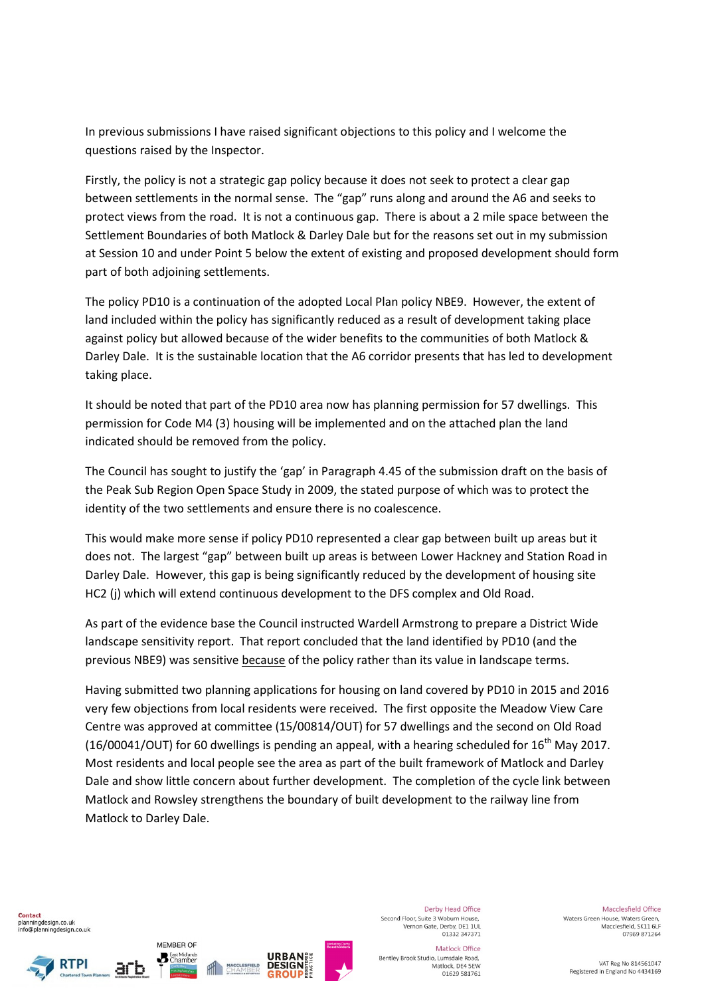In previous submissions I have raised significant objections to this policy and I welcome the questions raised by the Inspector.

Firstly, the policy is not a strategic gap policy because it does not seek to protect a clear gap between settlements in the normal sense. The "gap" runs along and around the A6 and seeks to protect views from the road. It is not a continuous gap. There is about a 2 mile space between the Settlement Boundaries of both Matlock & Darley Dale but for the reasons set out in my submission at Session 10 and under Point 5 below the extent of existing and proposed development should form part of both adjoining settlements.

The policy PD10 is a continuation of the adopted Local Plan policy NBE9. However, the extent of land included within the policy has significantly reduced as a result of development taking place against policy but allowed because of the wider benefits to the communities of both Matlock & Darley Dale. It is the sustainable location that the A6 corridor presents that has led to development taking place.

It should be noted that part of the PD10 area now has planning permission for 57 dwellings. This permission for Code M4 (3) housing will be implemented and on the attached plan the land indicated should be removed from the policy.

The Council has sought to justify the 'gap' in Paragraph 4.45 of the submission draft on the basis of the Peak Sub Region Open Space Study in 2009, the stated purpose of which was to protect the identity of the two settlements and ensure there is no coalescence.

This would make more sense if policy PD10 represented a clear gap between built up areas but it does not. The largest "gap" between built up areas is between Lower Hackney and Station Road in Darley Dale. However, this gap is being significantly reduced by the development of housing site HC2 (j) which will extend continuous development to the DFS complex and Old Road.

As part of the evidence base the Council instructed Wardell Armstrong to prepare a District Wide landscape sensitivity report. That report concluded that the land identified by PD10 (and the previous NBE9) was sensitive because of the policy rather than its value in landscape terms.

Having submitted two planning applications for housing on land covered by PD10 in 2015 and 2016 very few objections from local residents were received. The first opposite the Meadow View Care Centre was approved at committee (15/00814/OUT) for 57 dwellings and the second on Old Road (16/00041/OUT) for 60 dwellings is pending an appeal, with a hearing scheduled for  $16^{th}$  May 2017. Most residents and local people see the area as part of the built framework of Matlock and Darley Dale and show little concern about further development. The completion of the cycle link between Matlock and Rowsley strengthens the boundary of built development to the railway line from Matlock to Darley Dale.

Contact planningdesign.co.uk info@planningdesign.co.uk





MEMBER OF

**B** East Midlands



Derby Head Office Second Floor, Suite 3 Woburn House. Vernon Gate, Derby, DE1 1UL<br>01332 347371

Bentley Brook Studio, Lumsdale Road,

Matlock Office

Matlock, DE4 5EW

01629 581761

Macclesfield Office Waters Green House, Waters Green. Macclesfield, SK11 6LF 07969 871264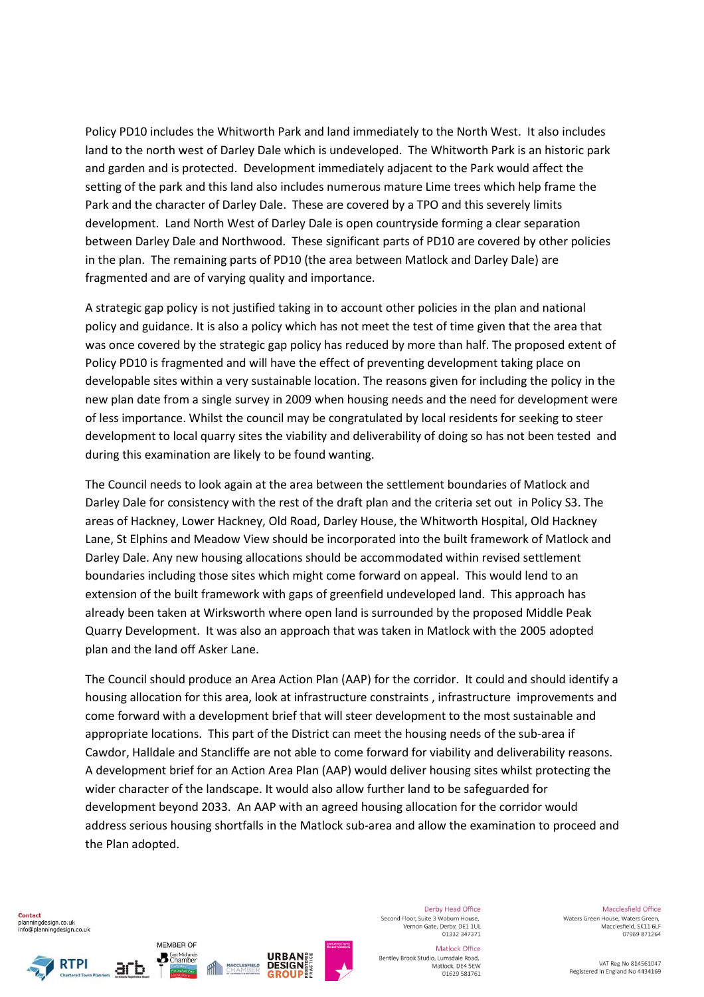Policy PD10 includes the Whitworth Park and land immediately to the North West. It also includes land to the north west of Darley Dale which is undeveloped. The Whitworth Park is an historic park and garden and is protected. Development immediately adjacent to the Park would affect the setting of the park and this land also includes numerous mature Lime trees which help frame the Park and the character of Darley Dale. These are covered by a TPO and this severely limits development. Land North West of Darley Dale is open countryside forming a clear separation between Darley Dale and Northwood. These significant parts of PD10 are covered by other policies in the plan. The remaining parts of PD10 (the area between Matlock and Darley Dale) are fragmented and are of varying quality and importance.

A strategic gap policy is not justified taking in to account other policies in the plan and national policy and guidance. It is also a policy which has not meet the test of time given that the area that was once covered by the strategic gap policy has reduced by more than half. The proposed extent of Policy PD10 is fragmented and will have the effect of preventing development taking place on developable sites within a very sustainable location. The reasons given for including the policy in the new plan date from a single survey in 2009 when housing needs and the need for development were of less importance. Whilst the council may be congratulated by local residents for seeking to steer development to local quarry sites the viability and deliverability of doing so has not been tested and during this examination are likely to be found wanting.

The Council needs to look again at the area between the settlement boundaries of Matlock and Darley Dale for consistency with the rest of the draft plan and the criteria set out in Policy S3. The areas of Hackney, Lower Hackney, Old Road, Darley House, the Whitworth Hospital, Old Hackney Lane, St Elphins and Meadow View should be incorporated into the built framework of Matlock and Darley Dale. Any new housing allocations should be accommodated within revised settlement boundaries including those sites which might come forward on appeal. This would lend to an extension of the built framework with gaps of greenfield undeveloped land. This approach has already been taken at Wirksworth where open land is surrounded by the proposed Middle Peak Quarry Development. It was also an approach that was taken in Matlock with the 2005 adopted plan and the land off Asker Lane.

The Council should produce an Area Action Plan (AAP) for the corridor. It could and should identify a housing allocation for this area, look at infrastructure constraints , infrastructure improvements and come forward with a development brief that will steer development to the most sustainable and appropriate locations. This part of the District can meet the housing needs of the sub-area if Cawdor, Halldale and Stancliffe are not able to come forward for viability and deliverability reasons. A development brief for an Action Area Plan (AAP) would deliver housing sites whilst protecting the wider character of the landscape. It would also allow further land to be safeguarded for development beyond 2033. An AAP with an agreed housing allocation for the corridor would address serious housing shortfalls in the Matlock sub-area and allow the examination to proceed and the Plan adopted.

**Contact** planningdesign.co.uk info@planningdesign.co.uk





MEMBER OF

**B** East Midlands



Derby Head Office Second Floor, Suite 3 Woburn House. Vernon Gate, Derby, DE1 1UL<br>01332 347371

Macclesfield Office Waters Green House, Waters Green. Macclesfield, SK11 6LF 07969 871264

Matlock Office Bentley Brook Studio, Lumsdale Road, Matlock, DE4 5EW 01629 581761